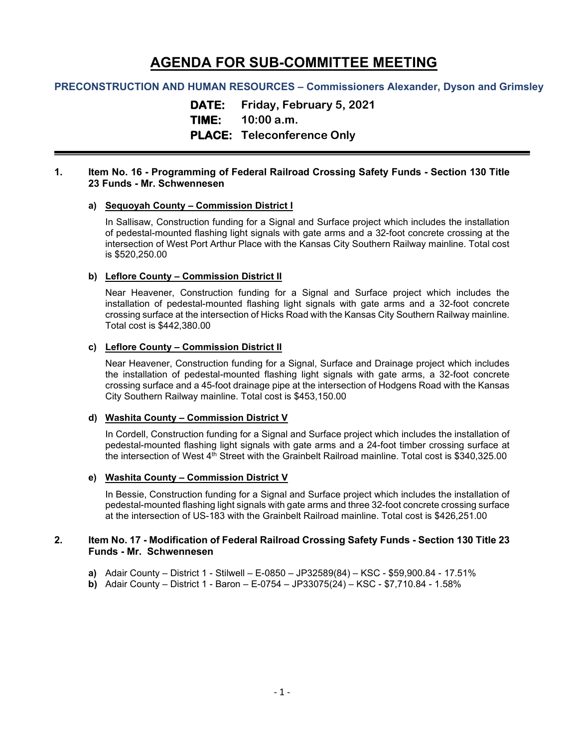# **AGENDA FOR SUB-COMMITTEE MEETING**

## **PRECONSTRUCTION AND HUMAN RESOURCES – Commissioners Alexander, Dyson and Grimsley**

**DATE: Friday, February 5, 2021**

**TIME: 10:00 a.m.**

## **PLACE: Teleconference Only**

## **1. Item No. 16 - Programming of Federal Railroad Crossing Safety Funds - Section 130 Title 23 Funds - Mr. Schwennesen**

## **a) Sequoyah County – Commission District I**

In Sallisaw, Construction funding for a Signal and Surface project which includes the installation of pedestal-mounted flashing light signals with gate arms and a 32-foot concrete crossing at the intersection of West Port Arthur Place with the Kansas City Southern Railway mainline. Total cost is \$520,250.00

## **b) Leflore County – Commission District II**

Near Heavener, Construction funding for a Signal and Surface project which includes the installation of pedestal-mounted flashing light signals with gate arms and a 32-foot concrete crossing surface at the intersection of Hicks Road with the Kansas City Southern Railway mainline. Total cost is \$442,380.00

## **c) Leflore County – Commission District II**

Near Heavener, Construction funding for a Signal, Surface and Drainage project which includes the installation of pedestal-mounted flashing light signals with gate arms, a 32-foot concrete crossing surface and a 45-foot drainage pipe at the intersection of Hodgens Road with the Kansas City Southern Railway mainline. Total cost is \$453,150.00

#### **d) Washita County – Commission District V**

In Cordell, Construction funding for a Signal and Surface project which includes the installation of pedestal-mounted flashing light signals with gate arms and a 24-foot timber crossing surface at the intersection of West 4<sup>th</sup> Street with the Grainbelt Railroad mainline. Total cost is \$340,325.00

## **e) Washita County – Commission District V**

In Bessie, Construction funding for a Signal and Surface project which includes the installation of pedestal-mounted flashing light signals with gate arms and three 32-foot concrete crossing surface at the intersection of US-183 with the Grainbelt Railroad mainline. Total cost is \$426,251.00

## **2. Item No. 17 - Modification of Federal Railroad Crossing Safety Funds - Section 130 Title 23 Funds - Mr. Schwennesen**

- **a)** Adair County District 1 Stilwell E-0850 JP32589(84) KSC \$59,900.84 17.51%
- **b)** Adair County District 1 Baron E-0754 JP33075(24) KSC \$7,710.84 1.58%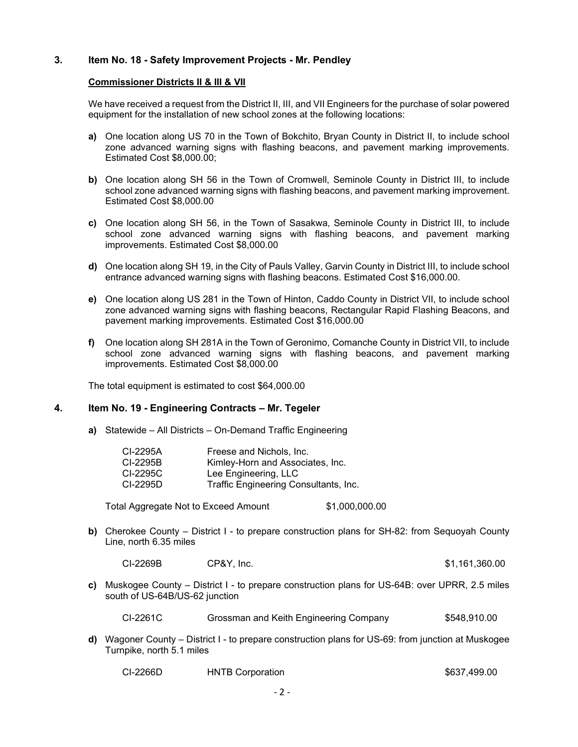## **3. Item No. 18 - Safety Improvement Projects - Mr. Pendley**

## **Commissioner Districts II & III & VII**

We have received a request from the District II, III, and VII Engineers for the purchase of solar powered equipment for the installation of new school zones at the following locations:

- **a)** One location along US 70 in the Town of Bokchito, Bryan County in District II, to include school zone advanced warning signs with flashing beacons, and pavement marking improvements. Estimated Cost \$8,000.00;
- **b)** One location along SH 56 in the Town of Cromwell, Seminole County in District III, to include school zone advanced warning signs with flashing beacons, and pavement marking improvement. Estimated Cost \$8,000.00
- **c)** One location along SH 56, in the Town of Sasakwa, Seminole County in District III, to include school zone advanced warning signs with flashing beacons, and pavement marking improvements. Estimated Cost \$8,000.00
- **d)** One location along SH 19, in the City of Pauls Valley, Garvin County in District III, to include school entrance advanced warning signs with flashing beacons. Estimated Cost \$16,000.00.
- **e)** One location along US 281 in the Town of Hinton, Caddo County in District VII, to include school zone advanced warning signs with flashing beacons, Rectangular Rapid Flashing Beacons, and pavement marking improvements. Estimated Cost \$16,000.00
- **f)** One location along SH 281A in the Town of Geronimo, Comanche County in District VII, to include school zone advanced warning signs with flashing beacons, and pavement marking improvements. Estimated Cost \$8,000.00

The total equipment is estimated to cost \$64,000.00

## **4. Item No. 19 - Engineering Contracts – Mr. Tegeler**

**a)** Statewide – All Districts – On-Demand Traffic Engineering

| CI-2295A | Freese and Nichols, Inc.              |
|----------|---------------------------------------|
| CI-2295B | Kimley-Horn and Associates, Inc.      |
| CI-2295C | Lee Engineering, LLC                  |
| CI-2295D | Traffic Engineering Consultants, Inc. |

Total Aggregate Not to Exceed Amount \$1,000,000.00

**b)** Cherokee County – District I - to prepare construction plans for SH-82: from Sequoyah County Line, north 6.35 miles

CI-2269B CP&Y, Inc. \$1,161,360.00

**c)** Muskogee County – District I - to prepare construction plans for US-64B: over UPRR, 2.5 miles south of US-64B/US-62 junction

CI-2261C Grossman and Keith Engineering Company \$548,910.00

**d)** Wagoner County – District I - to prepare construction plans for US-69: from junction at Muskogee Turnpike, north 5.1 miles

| CI-2266D<br><b>HNTB Corporation</b> | \$637,499.00 |
|-------------------------------------|--------------|
|-------------------------------------|--------------|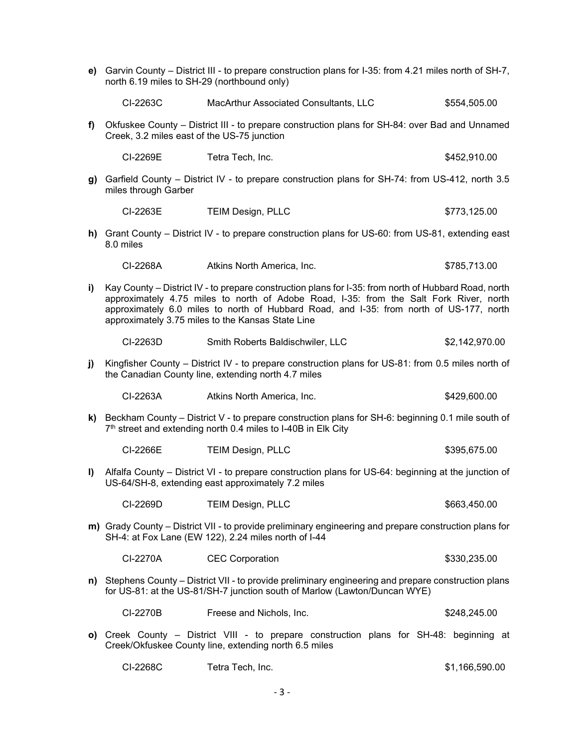|    | e) Garvin County – District III - to prepare construction plans for I-35: from 4.21 miles north of SH-7,<br>north 6.19 miles to SH-29 (northbound only)                                                                                                                                                                                        |                                                                                                                                                                |                |  |  |
|----|------------------------------------------------------------------------------------------------------------------------------------------------------------------------------------------------------------------------------------------------------------------------------------------------------------------------------------------------|----------------------------------------------------------------------------------------------------------------------------------------------------------------|----------------|--|--|
|    | CI-2263C                                                                                                                                                                                                                                                                                                                                       | MacArthur Associated Consultants, LLC                                                                                                                          | \$554,505.00   |  |  |
| f) | Okfuskee County - District III - to prepare construction plans for SH-84: over Bad and Unnamed<br>Creek, 3.2 miles east of the US-75 junction                                                                                                                                                                                                  |                                                                                                                                                                |                |  |  |
|    | CI-2269E                                                                                                                                                                                                                                                                                                                                       | Tetra Tech, Inc.                                                                                                                                               | \$452,910.00   |  |  |
| g) | Garfield County – District IV - to prepare construction plans for SH-74: from US-412, north 3.5<br>miles through Garber                                                                                                                                                                                                                        |                                                                                                                                                                |                |  |  |
|    | CI-2263E                                                                                                                                                                                                                                                                                                                                       | <b>TEIM Design, PLLC</b>                                                                                                                                       | \$773,125.00   |  |  |
|    | h) Grant County – District IV - to prepare construction plans for US-60: from US-81, extending east<br>8.0 miles                                                                                                                                                                                                                               |                                                                                                                                                                |                |  |  |
|    | CI-2268A                                                                                                                                                                                                                                                                                                                                       | Atkins North America, Inc.                                                                                                                                     | \$785,713.00   |  |  |
| i) | Kay County – District IV - to prepare construction plans for I-35: from north of Hubbard Road, north<br>approximately 4.75 miles to north of Adobe Road, I-35: from the Salt Fork River, north<br>approximately 6.0 miles to north of Hubbard Road, and I-35: from north of US-177, north<br>approximately 3.75 miles to the Kansas State Line |                                                                                                                                                                |                |  |  |
|    | CI-2263D                                                                                                                                                                                                                                                                                                                                       | Smith Roberts Baldischwiler, LLC                                                                                                                               | \$2,142,970.00 |  |  |
| j) | Kingfisher County - District IV - to prepare construction plans for US-81: from 0.5 miles north of<br>the Canadian County line, extending north 4.7 miles                                                                                                                                                                                      |                                                                                                                                                                |                |  |  |
|    | CI-2263A                                                                                                                                                                                                                                                                                                                                       | Atkins North America, Inc.                                                                                                                                     | \$429,600.00   |  |  |
| k) | Beckham County – District V - to prepare construction plans for SH-6: beginning 0.1 mile south of<br>7th street and extending north 0.4 miles to I-40B in Elk City                                                                                                                                                                             |                                                                                                                                                                |                |  |  |
|    | CI-2266E                                                                                                                                                                                                                                                                                                                                       | <b>TEIM Design, PLLC</b>                                                                                                                                       | \$395,675.00   |  |  |
| I) |                                                                                                                                                                                                                                                                                                                                                | Alfalfa County – District VI - to prepare construction plans for US-64: beginning at the junction of<br>US-64/SH-8, extending east approximately 7.2 miles     |                |  |  |
|    | CI-2269D                                                                                                                                                                                                                                                                                                                                       | <b>TEIM Design, PLLC</b>                                                                                                                                       | \$663,450.00   |  |  |
|    |                                                                                                                                                                                                                                                                                                                                                | m) Grady County – District VII - to provide preliminary engineering and prepare construction plans for<br>SH-4: at Fox Lane (EW 122), 2.24 miles north of I-44 |                |  |  |
|    | CI-2270A                                                                                                                                                                                                                                                                                                                                       | <b>CEC Corporation</b>                                                                                                                                         | \$330,235.00   |  |  |
|    | n) Stephens County – District VII - to provide preliminary engineering and prepare construction plans<br>for US-81: at the US-81/SH-7 junction south of Marlow (Lawton/Duncan WYE)                                                                                                                                                             |                                                                                                                                                                |                |  |  |
|    | CI-2270B                                                                                                                                                                                                                                                                                                                                       | Freese and Nichols, Inc.                                                                                                                                       | \$248,245.00   |  |  |
|    | o) Creek County – District VIII - to prepare construction plans for SH-48: beginning at<br>Creek/Okfuskee County line, extending north 6.5 miles                                                                                                                                                                                               |                                                                                                                                                                |                |  |  |
|    | CI-2268C                                                                                                                                                                                                                                                                                                                                       | Tetra Tech, Inc.                                                                                                                                               | \$1,166,590.00 |  |  |